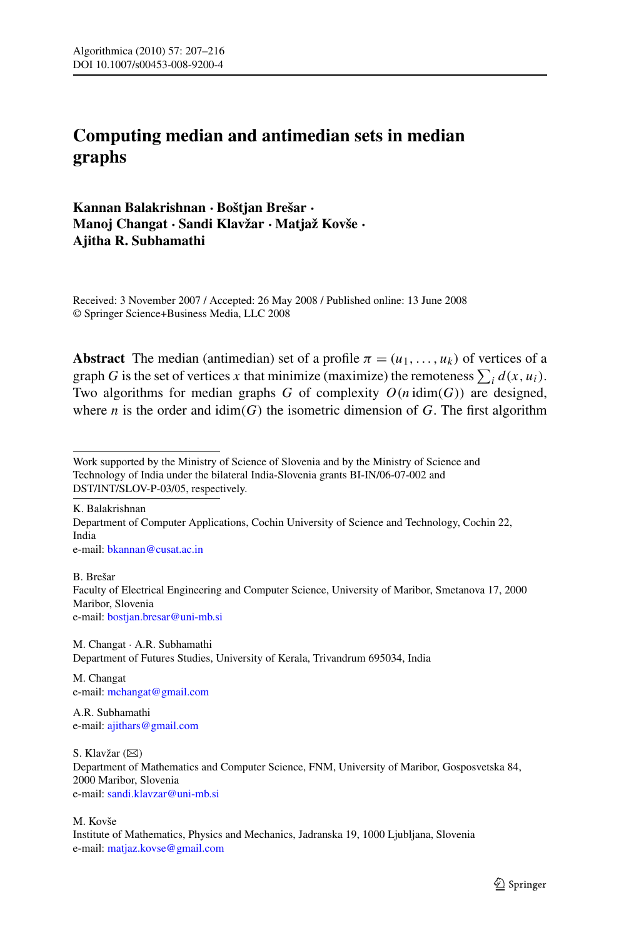# **Computing median and antimedian sets in median graphs**

**Kannan Balakrishnan · Boštjan Brešar · Manoj Changat · Sandi Klavžar · Matjaž Kovše · Ajitha R. Subhamathi**

Received: 3 November 2007 / Accepted: 26 May 2008 / Published online: 13 June 2008 © Springer Science+Business Media, LLC 2008

**Abstract** The median (antimedian) set of a profile  $\pi = (u_1, \ldots, u_k)$  of vertices of a graph *G* is the set of vertices *x* that minimize (maximize) the remoteness  $\sum_i d(x, u_i)$ . Two algorithms for median graphs *G* of complexity  $O(n \dim(G))$  are designed, where *n* is the order and  $\dim(G)$  the isometric dimension of *G*. The first algorithm

K. Balakrishnan Department of Computer Applications, Cochin University of Science and Technology, Cochin 22, India e-mail: [bkannan@cusat.ac.in](mailto:bkannan@cusat.ac.in)

B. Brešar Faculty of Electrical Engineering and Computer Science, University of Maribor, Smetanova 17, 2000 Maribor, Slovenia e-mail: [bostjan.bresar@uni-mb.si](mailto:bostjan.bresar@uni-mb.si)

M. Changat · A.R. Subhamathi Department of Futures Studies, University of Kerala, Trivandrum 695034, India

M. Changat e-mail: [mchangat@gmail.com](mailto:mchangat@gmail.com)

A.R. Subhamathi e-mail: [ajithars@gmail.com](mailto:ajithars@gmail.com)

S. Klavžar  $(\boxtimes)$ Department of Mathematics and Computer Science, FNM, University of Maribor, Gosposvetska 84, 2000 Maribor, Slovenia e-mail: [sandi.klavzar@uni-mb.si](mailto:sandi.klavzar@uni-mb.si)

M. Kovše Institute of Mathematics, Physics and Mechanics, Jadranska 19, 1000 Ljubljana, Slovenia e-mail: [matjaz.kovse@gmail.com](mailto:matjaz.kovse@gmail.com)

Work supported by the Ministry of Science of Slovenia and by the Ministry of Science and Technology of India under the bilateral India-Slovenia grants BI-IN/06-07-002 and DST/INT/SLOV-P-03/05, respectively.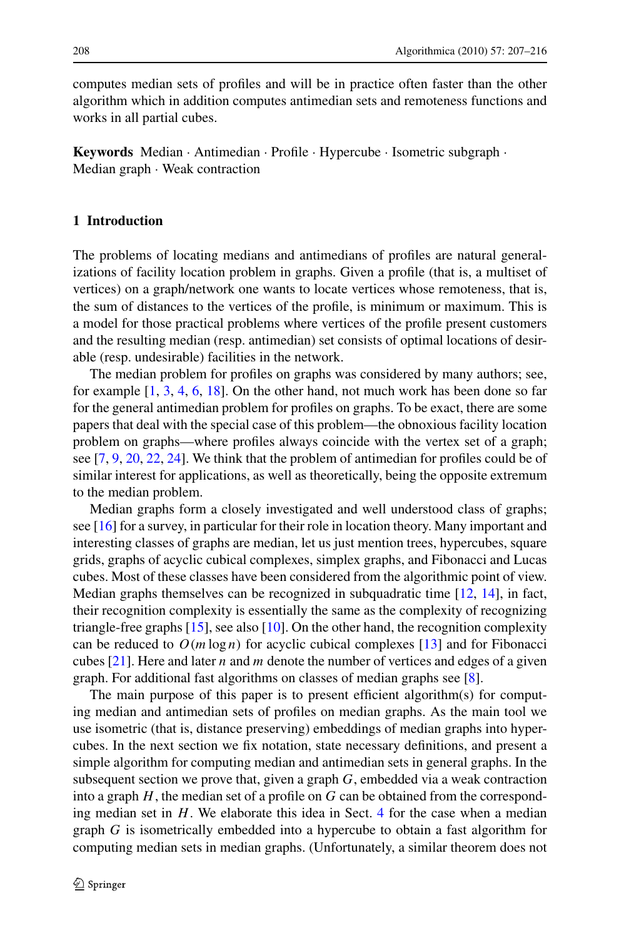computes median sets of profiles and will be in practice often faster than the other algorithm which in addition computes antimedian sets and remoteness functions and works in all partial cubes.

**Keywords** Median · Antimedian · Profile · Hypercube · Isometric subgraph · Median graph · Weak contraction

### **1 Introduction**

The problems of locating medians and antimedians of profiles are natural generalizations of facility location problem in graphs. Given a profile (that is, a multiset of vertices) on a graph/network one wants to locate vertices whose remoteness, that is, the sum of distances to the vertices of the profile, is minimum or maximum. This is a model for those practical problems where vertices of the profile present customers and the resulting median (resp. antimedian) set consists of optimal locations of desirable (resp. undesirable) facilities in the network.

The median problem for profiles on graphs was considered by many authors; see, for example [[1,](#page-8-0) [3](#page-8-0), [4](#page-8-0), [6](#page-8-0), [18\]](#page-8-0). On the other hand, not much work has been done so far for the general antimedian problem for profiles on graphs. To be exact, there are some papers that deal with the special case of this problem—the obnoxious facility location problem on graphs—where profiles always coincide with the vertex set of a graph; see [\[7](#page-8-0), [9,](#page-8-0) [20](#page-8-0), [22,](#page-9-0) [24\]](#page-9-0). We think that the problem of antimedian for profiles could be of similar interest for applications, as well as theoretically, being the opposite extremum to the median problem.

Median graphs form a closely investigated and well understood class of graphs; see [[16\]](#page-8-0) for a survey, in particular for their role in location theory. Many important and interesting classes of graphs are median, let us just mention trees, hypercubes, square grids, graphs of acyclic cubical complexes, simplex graphs, and Fibonacci and Lucas cubes. Most of these classes have been considered from the algorithmic point of view. Median graphs themselves can be recognized in subquadratic time [\[12](#page-8-0), [14\]](#page-8-0), in fact, their recognition complexity is essentially the same as the complexity of recognizing triangle-free graphs [\[15](#page-8-0)], see also [\[10](#page-8-0)]. On the other hand, the recognition complexity can be reduced to  $O(m \log n)$  for acyclic cubical complexes [[13\]](#page-8-0) and for Fibonacci cubes [[21\]](#page-9-0). Here and later *n* and *m* denote the number of vertices and edges of a given graph. For additional fast algorithms on classes of median graphs see [[8\]](#page-8-0).

The main purpose of this paper is to present efficient algorithm(s) for computing median and antimedian sets of profiles on median graphs. As the main tool we use isometric (that is, distance preserving) embeddings of median graphs into hypercubes. In the next section we fix notation, state necessary definitions, and present a simple algorithm for computing median and antimedian sets in general graphs. In the subsequent section we prove that, given a graph *G*, embedded via a weak contraction into a graph *H*, the median set of a profile on *G* can be obtained from the corresponding median set in *H*. We elaborate this idea in Sect. [4](#page-4-0) for the case when a median graph *G* is isometrically embedded into a hypercube to obtain a fast algorithm for computing median sets in median graphs. (Unfortunately, a similar theorem does not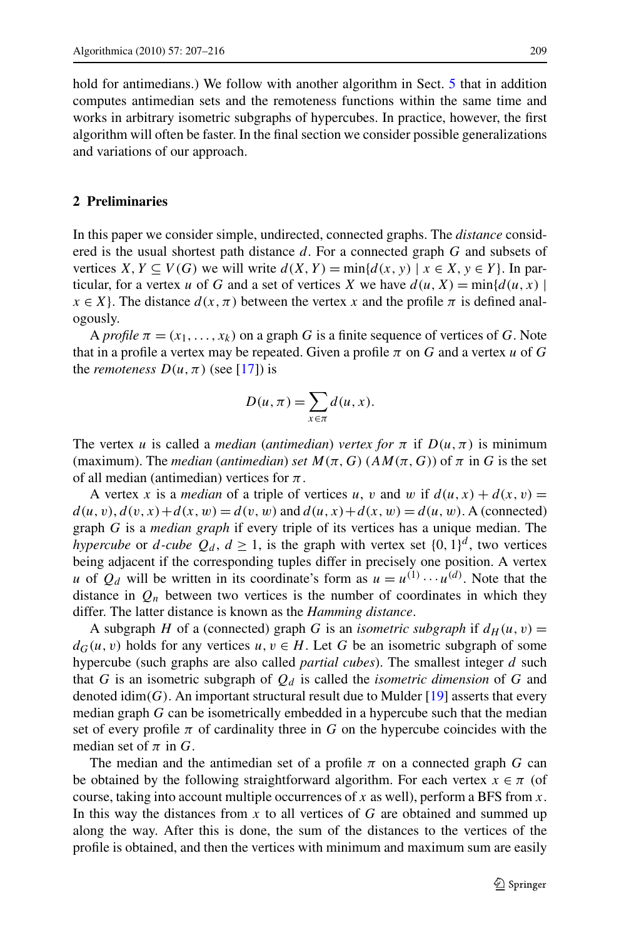<span id="page-2-0"></span>hold for antimedians.) We follow with another algorithm in Sect. [5](#page-6-0) that in addition computes antimedian sets and the remoteness functions within the same time and works in arbitrary isometric subgraphs of hypercubes. In practice, however, the first algorithm will often be faster. In the final section we consider possible generalizations and variations of our approach.

## **2 Preliminaries**

In this paper we consider simple, undirected, connected graphs. The *distance* considered is the usual shortest path distance *d*. For a connected graph *G* and subsets of vertices *X*,  $Y \subseteq V(G)$  we will write  $d(X, Y) = \min\{d(x, y) \mid x \in X, y \in Y\}$ . In particular, for a vertex *u* of *G* and a set of vertices *X* we have  $d(u, X) = \min\{d(u, x) | u(x)\}$  $x \in X$ . The distance  $d(x, \pi)$  between the vertex *x* and the profile  $\pi$  is defined analogously.

A *profile*  $\pi = (x_1, \ldots, x_k)$  on a graph G is a finite sequence of vertices of G. Note that in a profile a vertex may be repeated. Given a profile  $\pi$  on  $G$  and a vertex  $u$  of  $G$ the *remoteness*  $D(u, \pi)$  (see [[17\]](#page-8-0)) is

$$
D(u, \pi) = \sum_{x \in \pi} d(u, x).
$$

The vertex *u* is called a *median* (*antimedian*) *vertex for*  $\pi$  if  $D(u, \pi)$  is minimum (maximum). The *median* (*antimedian*) *set*  $M(\pi, G)$  ( $AM(\pi, G)$ ) of  $\pi$  in G is the set of all median (antimedian) vertices for *π*.

A vertex *x* is a *median* of a triple of vertices *u*, *v* and *w* if  $d(u, x) + d(x, v) =$  $d(u, v), d(v, x) + d(x, w) = d(v, w)$  and  $d(u, x) + d(x, w) = d(u, w)$ . A (connected) graph *G* is a *median graph* if every triple of its vertices has a unique median. The *hypercube* or *d*-*cube*  $Q_d$ ,  $d \ge 1$ , is the graph with vertex set  $\{0, 1\}^d$ , two vertices being adjacent if the corresponding tuples differ in precisely one position. A vertex *u* of  $Q_d$  will be written in its coordinate's form as  $u = u^{(1)} \cdots u^{(d)}$ . Note that the distance in  $Q_n$  between two vertices is the number of coordinates in which they differ. The latter distance is known as the *Hamming distance*.

A subgraph *H* of a (connected) graph *G* is an *isometric subgraph* if  $d_H(u, v) =$  $d_G(u, v)$  holds for any vertices  $u, v \in H$ . Let G be an isometric subgraph of some hypercube (such graphs are also called *partial cubes*). The smallest integer *d* such that *G* is an isometric subgraph of  $Q_d$  is called the *isometric dimension* of *G* and denoted idim $(G)$ . An important structural result due to Mulder [\[19](#page-8-0)] asserts that every median graph *G* can be isometrically embedded in a hypercube such that the median set of every profile  $\pi$  of cardinality three in *G* on the hypercube coincides with the median set of *π* in *G*.

The median and the antimedian set of a profile  $\pi$  on a connected graph *G* can be obtained by the following straightforward algorithm. For each vertex  $x \in \pi$  (of course, taking into account multiple occurrences of *x* as well), perform a BFS from *x*. In this way the distances from  $x$  to all vertices of  $G$  are obtained and summed up along the way. After this is done, the sum of the distances to the vertices of the profile is obtained, and then the vertices with minimum and maximum sum are easily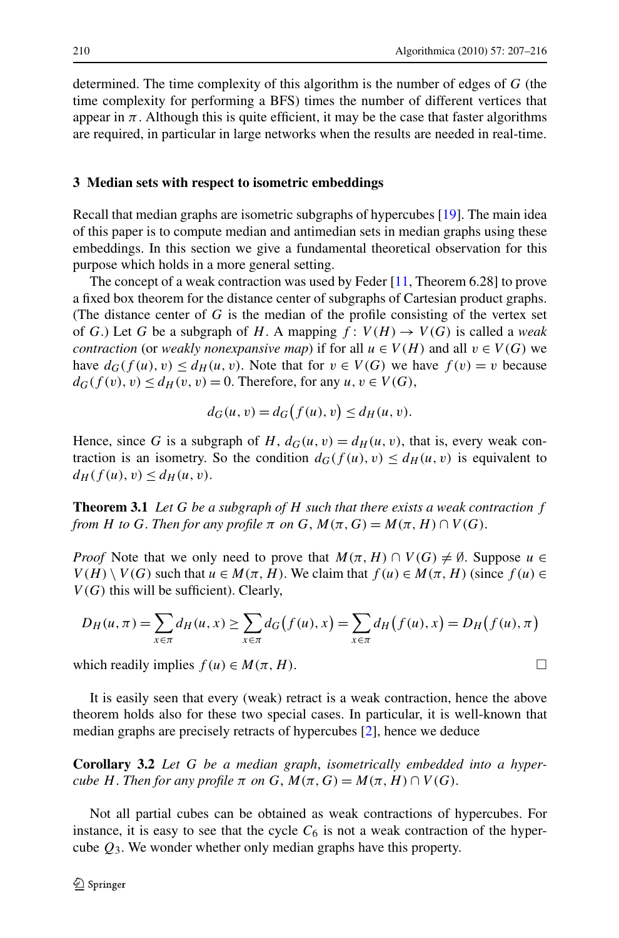<span id="page-3-0"></span>determined. The time complexity of this algorithm is the number of edges of *G* (the time complexity for performing a BFS) times the number of different vertices that appear in  $\pi$ . Although this is quite efficient, it may be the case that faster algorithms are required, in particular in large networks when the results are needed in real-time.

### **3 Median sets with respect to isometric embeddings**

Recall that median graphs are isometric subgraphs of hypercubes [\[19](#page-8-0)]. The main idea of this paper is to compute median and antimedian sets in median graphs using these embeddings. In this section we give a fundamental theoretical observation for this purpose which holds in a more general setting.

The concept of a weak contraction was used by Feder [\[11](#page-8-0), Theorem 6.28] to prove a fixed box theorem for the distance center of subgraphs of Cartesian product graphs. (The distance center of *G* is the median of the profile consisting of the vertex set of *G*.) Let *G* be a subgraph of *H*. A mapping  $f: V(H) \rightarrow V(G)$  is called a *weak contraction* (or *weakly nonexpansive map*) if for all  $u \in V(H)$  and all  $v \in V(G)$  we have  $d_G(f(u), v) \le d_H(u, v)$ . Note that for  $v \in V(G)$  we have  $f(v) = v$  because  $d_G(f(v), v) \leq d_H(v, v) = 0$ . Therefore, for any  $u, v \in V(G)$ ,

$$
d_G(u, v) = d_G(f(u), v) \le d_H(u, v).
$$

Hence, since G is a subgraph of H,  $d_G(u, v) = d_H(u, v)$ , that is, every weak contraction is an isometry. So the condition  $d_G(f(u),v) \le d_H(u,v)$  is equivalent to  $d_H(f(u), v) \leq d_H(u, v).$ 

**Theorem 3.1** *Let G be a subgraph of H such that there exists a weak contraction f from H to G*. *Then for any profile*  $\pi$  *on*  $G$ ,  $M(\pi, G) = M(\pi, H) \cap V(G)$ .

*Proof* Note that we only need to prove that  $M(\pi,H) \cap V(G) \neq \emptyset$ . Suppose  $u \in$  $V(H) \setminus V(G)$  such that  $u \in M(\pi, H)$ . We claim that  $f(u) \in M(\pi, H)$  (since  $f(u) \in$ *V (G)* this will be sufficient). Clearly,

$$
D_H(u, \pi) = \sum_{x \in \pi} d_H(u, x) \ge \sum_{x \in \pi} d_G(f(u), x) = \sum_{x \in \pi} d_H(f(u), x) = D_H(f(u), \pi)
$$

which readily implies  $f(u) \in M(\pi, H)$ .

It is easily seen that every (weak) retract is a weak contraction, hence the above theorem holds also for these two special cases. In particular, it is well-known that median graphs are precisely retracts of hypercubes [[2](#page-8-0)], hence we deduce

**Corollary 3.2** *Let G be a median graph*, *isometrically embedded into a hypercube H*. *Then for any profile*  $\pi$  *on*  $G$ ,  $M(\pi, G) = M(\pi, H) \cap V(G)$ .

Not all partial cubes can be obtained as weak contractions of hypercubes. For instance, it is easy to see that the cycle  $C_6$  is not a weak contraction of the hypercube *Q*3. We wonder whether only median graphs have this property.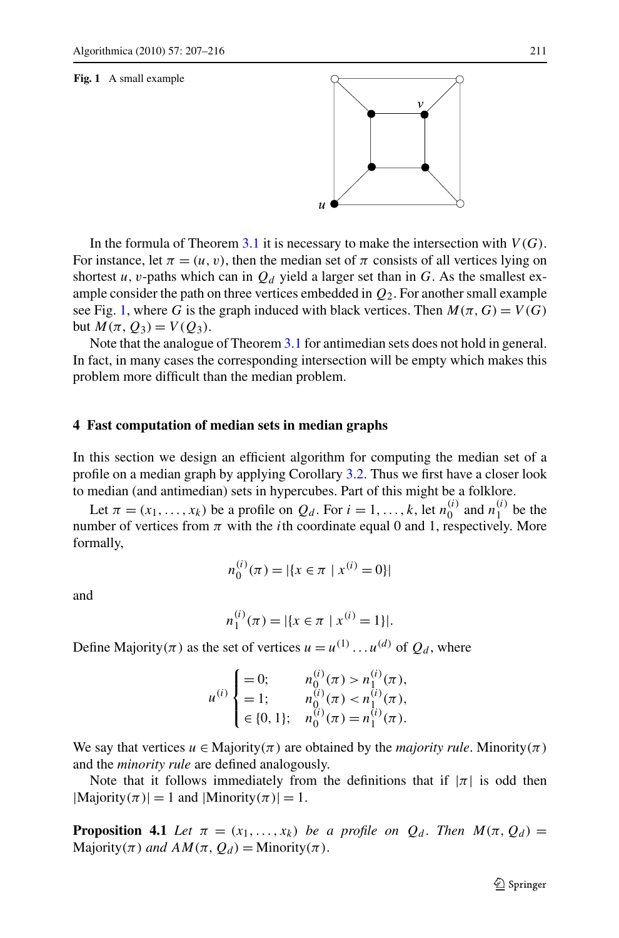#### <span id="page-4-0"></span>**Fig. 1** A small example

In the formula of Theorem [3.1](#page-3-0) it is necessary to make the intersection with  $V(G)$ . For instance, let  $\pi = (u, v)$ , then the median set of  $\pi$  consists of all vertices lying on shortest *u*, *v*-paths which can in  $Q_d$  yield a larger set than in G. As the smallest example consider the path on three vertices embedded in *Q*2. For another small example see Fig. 1, where *G* is the graph induced with black vertices. Then  $M(\pi, G) = V(G)$ **but**  $M(π, Q_3) = V(Q_3)$ .

Note that the analogue of Theorem [3.1](#page-3-0) for antimedian sets does not hold in general. In fact, in many cases the corresponding intersection will be empty which makes this problem more difficult than the median problem.

#### **4 Fast computation of median sets in median graphs**

In this section we design an efficient algorithm for computing the median set of a profile on a median graph by applying Corollary [3.2](#page-3-0). Thus we first have a closer look to median (and antimedian) sets in hypercubes. Part of this might be a folklore.

Let  $\pi = (x_1, \ldots, x_k)$  be a profile on  $Q_d$ . For  $i = 1, \ldots, k$ , let  $n_0^{(i)}$  and  $n_1^{(i)}$  be the number of vertices from  $\pi$  with the *i*th coordinate equal 0 and 1, respectively. More formally,

$$
n_0^{(i)}(\pi) = |\{x \in \pi \mid x^{(i)} = 0\}|
$$

and

$$
n_1^{(i)}(\pi) = |\{x \in \pi \mid x^{(i)} = 1\}|.
$$

Define Majority( $\pi$ ) as the set of vertices  $u = u^{(1)} \dots u^{(d)}$  of  $Q_d$ , where

$$
u^{(i)}\begin{cases}=0; & n_0^{(i)}(\pi) > n_1^{(i)}(\pi),\\=1; & n_0^{(i)}(\pi) < n_1^{(i)}(\pi),\\ \in \{0,1\}; & n_0^{(i)}(\pi) = n_1^{(i)}(\pi). \end{cases}
$$

We say that vertices  $u \in$  Majority $(\pi)$  are obtained by the *majority rule*. Minority $(\pi)$ and the *minority rule* are defined analogously.

Note that it follows immediately from the definitions that if  $|\pi|$  is odd then  $|Majority(\pi)| = 1$  and  $|Minority(\pi)| = 1$ .

**Proposition 4.1** *Let*  $\pi = (x_1, \ldots, x_k)$  *be a profile on*  $Q_d$ . *Then*  $M(\pi, Q_d)$  =  $\text{Majority}(\pi)$  *and*  $AM(\pi, Q_d) = \text{Minority}(\pi)$ .

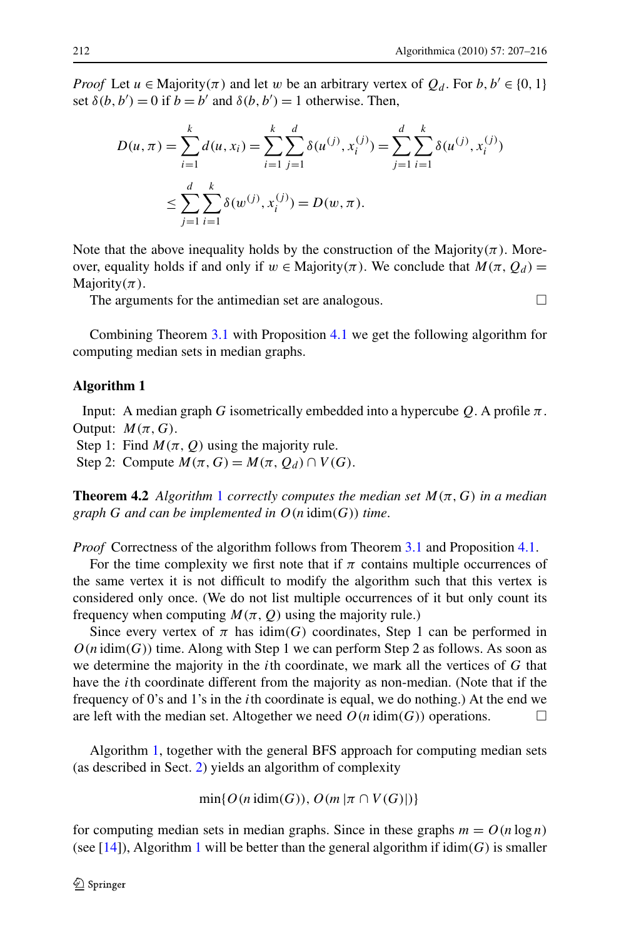<span id="page-5-0"></span>*Proof* Let  $u \in$  Majority $(\pi)$  and let  $w$  be an arbitrary vertex of  $Q_d$ . For  $b, b' \in \{0, 1\}$ set  $\delta(b, b') = 0$  if  $b = b'$  and  $\delta(b, b') = 1$  otherwise. Then,

$$
D(u, \pi) = \sum_{i=1}^{k} d(u, x_i) = \sum_{i=1}^{k} \sum_{j=1}^{d} \delta(u^{(j)}, x_i^{(j)}) = \sum_{j=1}^{d} \sum_{i=1}^{k} \delta(u^{(j)}, x_i^{(j)})
$$
  

$$
\leq \sum_{j=1}^{d} \sum_{i=1}^{k} \delta(w^{(j)}, x_i^{(j)}) = D(w, \pi).
$$

Note that the above inequality holds by the construction of the Majority $(\pi)$ . Moreover, equality holds if and only if  $w \in$  Majority $(\pi)$ . We conclude that  $M(\pi, Q_d)$  = Majority*(π)*.

The arguments for the antimedian set are analogous.  $\Box$ 

Combining Theorem [3.1](#page-3-0) with Proposition [4.1](#page-4-0) we get the following algorithm for computing median sets in median graphs.

#### **Algorithm 1**

Input: A median graph *G* isometrically embedded into a hypercube  $Q$ . A profile  $\pi$ . Output:  $M(\pi, G)$ .

Step 1: Find  $M(\pi, Q)$  using the majority rule.

Step 2: Compute  $M(\pi, G) = M(\pi, Q_d) \cap V(G)$ .

**Theorem 4.2** *Algorithm* 1 *correctly computes the median set*  $M(\pi, G)$  *in a median graph G and can be implemented in O(n* idim*(G)) time*.

*Proof* Correctness of the algorithm follows from Theorem [3.1](#page-3-0) and Proposition [4.1](#page-4-0).

For the time complexity we first note that if  $\pi$  contains multiple occurrences of the same vertex it is not difficult to modify the algorithm such that this vertex is considered only once. (We do not list multiple occurrences of it but only count its frequency when computing  $M(\pi, Q)$  using the majority rule.)

Since every vertex of  $\pi$  has idim(G) coordinates, Step 1 can be performed in  $O(n \dim(G))$  time. Along with Step 1 we can perform Step 2 as follows. As soon as we determine the majority in the *i*th coordinate, we mark all the vertices of *G* that have the *i*th coordinate different from the majority as non-median. (Note that if the frequency of 0's and 1's in the *i*th coordinate is equal, we do nothing.) At the end we are left with the median set. Altogether we need  $O(n \dim(G))$  operations.

Algorithm 1, together with the general BFS approach for computing median sets (as described in Sect. [2\)](#page-2-0) yields an algorithm of complexity

$$
\min\{O(n\, \text{idim}(G)), O(m \,|\pi \cap V(G)|)\}
$$

for computing median sets in median graphs. Since in these graphs  $m = O(n \log n)$ (see [\[14](#page-8-0)]), Algorithm 1 will be better than the general algorithm if  $\dim(G)$  is smaller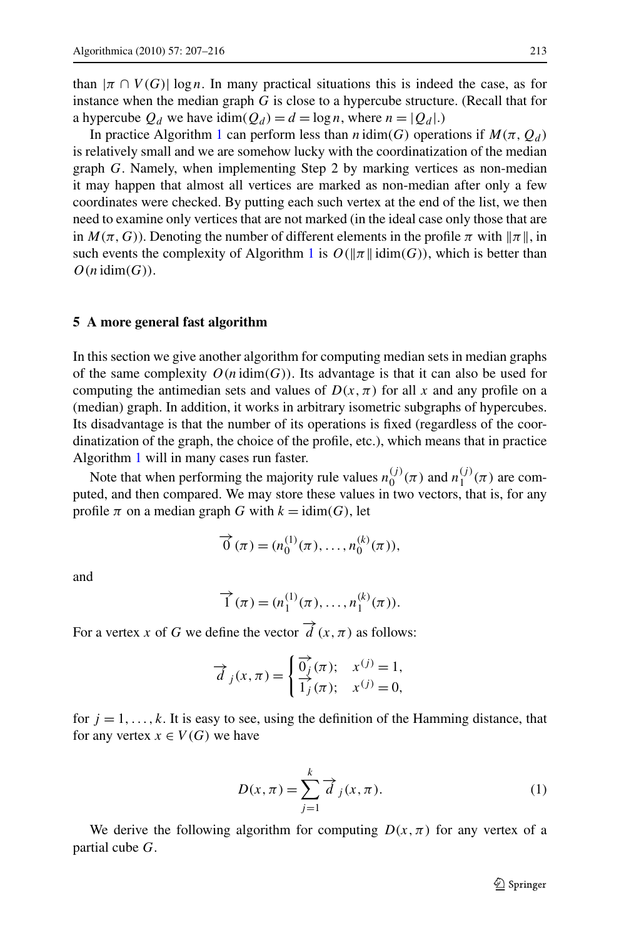<span id="page-6-0"></span>than  $|\pi \cap V(G)| \log n$ . In many practical situations this is indeed the case, as for instance when the median graph *G* is close to a hypercube structure. (Recall that for a hypercube  $Q_d$  we have  $\text{idim}(Q_d) = d = \log n$ , where  $n = |Q_d|$ .)

In practice Algorithm [1](#page-5-0) can perform less than *n* idim(G) operations if  $M(\pi, Q_d)$ is relatively small and we are somehow lucky with the coordinatization of the median graph *G*. Namely, when implementing Step 2 by marking vertices as non-median it may happen that almost all vertices are marked as non-median after only a few coordinates were checked. By putting each such vertex at the end of the list, we then need to examine only vertices that are not marked (in the ideal case only those that are in  $M(\pi, G)$ ). Denoting the number of different elements in the profile  $\pi$  with  $\|\pi\|$ , in such events the complexity of Algorithm [1](#page-5-0) is  $O(\Vert \pi \Vert \text{idim}(G))$ , which is better than  $O(n \mathrm{idim}(G)).$ 

## **5 A more general fast algorithm**

In this section we give another algorithm for computing median sets in median graphs of the same complexity  $O(n \dim(G))$ . Its advantage is that it can also be used for computing the antimedian sets and values of  $D(x, \pi)$  for all x and any profile on a (median) graph. In addition, it works in arbitrary isometric subgraphs of hypercubes. Its disadvantage is that the number of its operations is fixed (regardless of the coordinatization of the graph, the choice of the profile, etc.), which means that in practice Algorithm [1](#page-5-0) will in many cases run faster.

Note that when performing the majority rule values  $n_0^{(j)}(\pi)$  and  $n_1^{(j)}(\pi)$  are computed, and then compared. We may store these values in two vectors, that is, for any profile  $\pi$  on a median graph *G* with  $k = idim(G)$ , let

$$
\vec{0}(\pi) = (n_0^{(1)}(\pi), \dots, n_0^{(k)}(\pi)),
$$

and

$$
\vec{1}(\pi) = (n_1^{(1)}(\pi), \dots, n_1^{(k)}(\pi)).
$$

For a vertex *x* of *G* we define the vector  $\hat{d}(x, \pi)$  as follows:

$$
\overrightarrow{d}_j(x,\pi) = \begin{cases} \overrightarrow{0_j}(\pi); & x^{(j)} = 1, \\ \overrightarrow{1_j}(\pi); & x^{(j)} = 0, \end{cases}
$$

for  $j = 1, \ldots, k$ . It is easy to see, using the definition of the Hamming distance, that for any vertex  $x \in V(G)$  we have

$$
D(x,\pi) = \sum_{j=1}^{k} \vec{d}_j(x,\pi).
$$
 (1)

We derive the following algorithm for computing  $D(x, \pi)$  for any vertex of a partial cube *G*.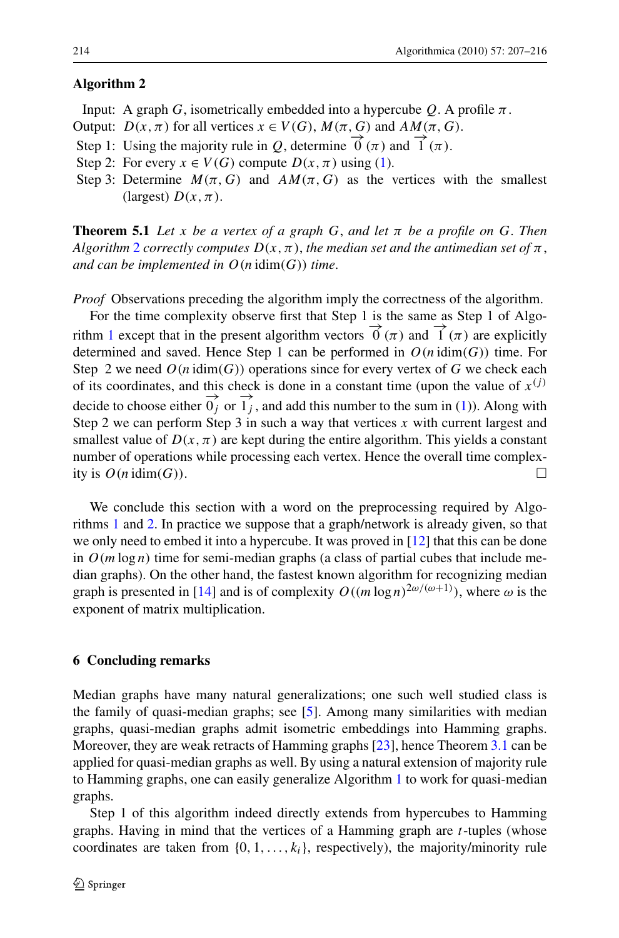### <span id="page-7-0"></span>**Algorithm 2**

- Input: A graph *G*, isometrically embedded into a hypercube  $Q$ . A profile  $\pi$ .
- Output:  $D(x, \pi)$  for all vertices  $x \in V(G)$ ,  $M(\pi, G)$  and  $AM(\pi, G)$ .
- Step 1: Using the majority rule in *Q*, determine  $\vec{0}$  ( $\pi$ ) and  $\vec{1}$  ( $\pi$ ).
- Step 2: For every  $x \in V(G)$  compute  $D(x, \pi)$  using ([1\)](#page-6-0).
- Step 3: Determine  $M(\pi, G)$  and  $AM(\pi, G)$  as the vertices with the smallest (largest)  $D(x, \pi)$ .

**Theorem 5.1** Let *x* be a vertex of a graph G, and let  $\pi$  be a profile on G. Then *Algorithm* 2 *correctly computes*  $D(x, \pi)$ , *the median set and the antimedian set of*  $\pi$ , *and can be implemented in*  $O(n \text{ idim}(G))$  *time.* 

*Proof* Observations preceding the algorithm imply the correctness of the algorithm.

For the time complexity observe first that Step 1 is the same as Step 1 of Algo-rithm [1](#page-5-0) except that in the present algorithm vectors  $\vec{0}(\pi)$  and  $\vec{1}(\pi)$  are explicitly determined and saved. Hence Step 1 can be performed in  $O(n \text{ idim}(G))$  time. For Step 2 we need  $O(n \text{ idim}(G))$  operations since for every vertex of G we check each of its coordinates, and this check is done in a constant time (upon the value of  $x^{(j)}$ ) decide to choose either  $\overrightarrow{0_i}$  or  $\overrightarrow{1_i}$ , and add this number to the sum in ([1\)](#page-6-0)). Along with Step 2 we can perform Step 3 in such a way that vertices  $x$  with current largest and smallest value of  $D(x, \pi)$  are kept during the entire algorithm. This yields a constant number of operations while processing each vertex. Hence the overall time complexity is  $O(n \dim(G))$ .

We conclude this section with a word on the preprocessing required by Algorithms [1](#page-5-0) and 2. In practice we suppose that a graph/network is already given, so that we only need to embed it into a hypercube. It was proved in [\[12](#page-8-0)] that this can be done in  $O(m \log n)$  time for semi-median graphs (a class of partial cubes that include median graphs). On the other hand, the fastest known algorithm for recognizing median graph is presented in [\[14](#page-8-0)] and is of complexity  $O((m \log n)^{2\omega/(\omega+1)})$ , where  $\omega$  is the exponent of matrix multiplication.

### **6 Concluding remarks**

Median graphs have many natural generalizations; one such well studied class is the family of quasi-median graphs; see [[5\]](#page-8-0). Among many similarities with median graphs, quasi-median graphs admit isometric embeddings into Hamming graphs. Moreover, they are weak retracts of Hamming graphs [\[23](#page-9-0)], hence Theorem [3.1](#page-3-0) can be applied for quasi-median graphs as well. By using a natural extension of majority rule to Hamming graphs, one can easily generalize Algorithm [1](#page-5-0) to work for quasi-median graphs.

Step 1 of this algorithm indeed directly extends from hypercubes to Hamming graphs. Having in mind that the vertices of a Hamming graph are *t*-tuples (whose coordinates are taken from  $\{0, 1, \ldots, k_i\}$ , respectively), the majority/minority rule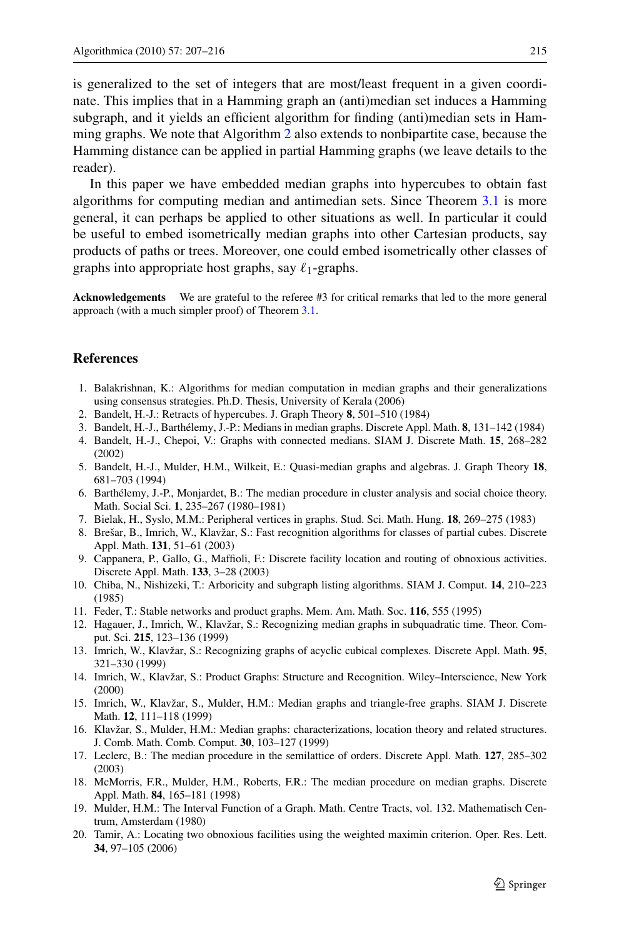<span id="page-8-0"></span>is generalized to the set of integers that are most/least frequent in a given coordinate. This implies that in a Hamming graph an (anti)median set induces a Hamming subgraph, and it yields an efficient algorithm for finding (anti)median sets in Hamming graphs. We note that Algorithm [2](#page-7-0) also extends to nonbipartite case, because the Hamming distance can be applied in partial Hamming graphs (we leave details to the reader).

In this paper we have embedded median graphs into hypercubes to obtain fast algorithms for computing median and antimedian sets. Since Theorem [3.1](#page-3-0) is more general, it can perhaps be applied to other situations as well. In particular it could be useful to embed isometrically median graphs into other Cartesian products, say products of paths or trees. Moreover, one could embed isometrically other classes of graphs into appropriate host graphs, say  $\ell_1$ -graphs.

**Acknowledgements** We are grateful to the referee #3 for critical remarks that led to the more general approach (with a much simpler proof) of Theorem [3.1](#page-3-0).

#### **References**

- 1. Balakrishnan, K.: Algorithms for median computation in median graphs and their generalizations using consensus strategies. Ph.D. Thesis, University of Kerala (2006)
- 2. Bandelt, H.-J.: Retracts of hypercubes. J. Graph Theory **8**, 501–510 (1984)
- 3. Bandelt, H.-J., Barthélemy, J.-P.: Medians in median graphs. Discrete Appl. Math. **8**, 131–142 (1984)
- 4. Bandelt, H.-J., Chepoi, V.: Graphs with connected medians. SIAM J. Discrete Math. **15**, 268–282 (2002)
- 5. Bandelt, H.-J., Mulder, H.M., Wilkeit, E.: Quasi-median graphs and algebras. J. Graph Theory **18**, 681–703 (1994)
- 6. Barthélemy, J.-P., Monjardet, B.: The median procedure in cluster analysis and social choice theory. Math. Social Sci. **1**, 235–267 (1980–1981)
- 7. Bielak, H., Syslo, M.M.: Peripheral vertices in graphs. Stud. Sci. Math. Hung. **18**, 269–275 (1983)
- 8. Brešar, B., Imrich, W., Klavžar, S.: Fast recognition algorithms for classes of partial cubes. Discrete Appl. Math. **131**, 51–61 (2003)
- 9. Cappanera, P., Gallo, G., Maffioli, F.: Discrete facility location and routing of obnoxious activities. Discrete Appl. Math. **133**, 3–28 (2003)
- 10. Chiba, N., Nishizeki, T.: Arboricity and subgraph listing algorithms. SIAM J. Comput. **14**, 210–223 (1985)
- 11. Feder, T.: Stable networks and product graphs. Mem. Am. Math. Soc. **116**, 555 (1995)
- 12. Hagauer, J., Imrich, W., Klavžar, S.: Recognizing median graphs in subquadratic time. Theor. Comput. Sci. **215**, 123–136 (1999)
- 13. Imrich, W., Klavžar, S.: Recognizing graphs of acyclic cubical complexes. Discrete Appl. Math. **95**, 321–330 (1999)
- 14. Imrich, W., Klavžar, S.: Product Graphs: Structure and Recognition. Wiley–Interscience, New York (2000)
- 15. Imrich, W., Klavžar, S., Mulder, H.M.: Median graphs and triangle-free graphs. SIAM J. Discrete Math. **12**, 111–118 (1999)
- 16. Klavžar, S., Mulder, H.M.: Median graphs: characterizations, location theory and related structures. J. Comb. Math. Comb. Comput. **30**, 103–127 (1999)
- 17. Leclerc, B.: The median procedure in the semilattice of orders. Discrete Appl. Math. **127**, 285–302 (2003)
- 18. McMorris, F.R., Mulder, H.M., Roberts, F.R.: The median procedure on median graphs. Discrete Appl. Math. **84**, 165–181 (1998)
- 19. Mulder, H.M.: The Interval Function of a Graph. Math. Centre Tracts, vol. 132. Mathematisch Centrum, Amsterdam (1980)
- 20. Tamir, A.: Locating two obnoxious facilities using the weighted maximin criterion. Oper. Res. Lett. **34**, 97–105 (2006)